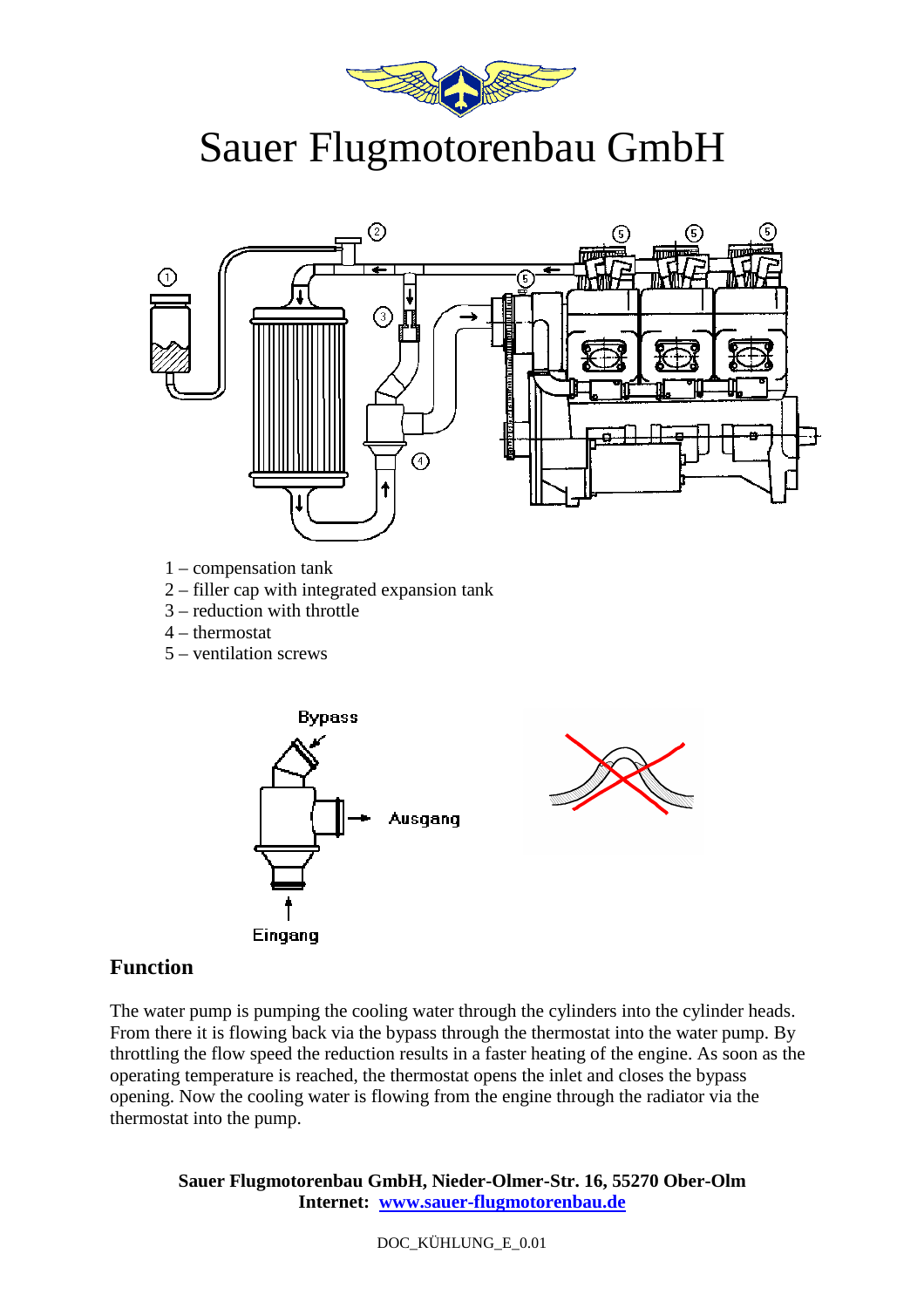

## Sauer Flugmotorenbau GmbH



- 1 compensation tank
- 2 filler cap with integrated expansion tank
- 3 reduction with throttle
- 4 thermostat
- 5 ventilation screws



## **Function**

The water pump is pumping the cooling water through the cylinders into the cylinder heads. From there it is flowing back via the bypass through the thermostat into the water pump. By throttling the flow speed the reduction results in a faster heating of the engine. As soon as the operating temperature is reached, the thermostat opens the inlet and closes the bypass opening. Now the cooling water is flowing from the engine through the radiator via the thermostat into the pump.

**Sauer Flugmotorenbau GmbH, Nieder-Olmer-Str. 16, 55270 Ober-Olm Internet: www.sauer-flugmotorenbau.de**